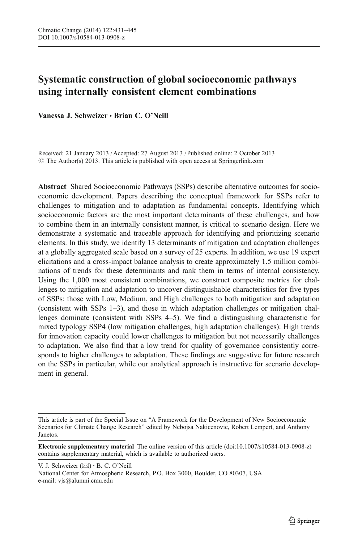# Systematic construction of global socioeconomic pathways using internally consistent element combinations

Vanessa J. Schweizer · Brian C. O'Neill

Received: 21 January 2013 / Accepted: 27 August 2013 / Published online: 2 October 2013  $\odot$  The Author(s) 2013. This article is published with open access at Springerlink.com

Abstract Shared Socioeconomic Pathways (SSPs) describe alternative outcomes for socioeconomic development. Papers describing the conceptual framework for SSPs refer to challenges to mitigation and to adaptation as fundamental concepts. Identifying which socioeconomic factors are the most important determinants of these challenges, and how to combine them in an internally consistent manner, is critical to scenario design. Here we demonstrate a systematic and traceable approach for identifying and prioritizing scenario elements. In this study, we identify 13 determinants of mitigation and adaptation challenges at a globally aggregated scale based on a survey of 25 experts. In addition, we use 19 expert elicitations and a cross-impact balance analysis to create approximately 1.5 million combinations of trends for these determinants and rank them in terms of internal consistency. Using the 1,000 most consistent combinations, we construct composite metrics for challenges to mitigation and adaptation to uncover distinguishable characteristics for five types of SSPs: those with Low, Medium, and High challenges to both mitigation and adaptation (consistent with SSPs 1–3), and those in which adaptation challenges or mitigation challenges dominate (consistent with SSPs 4–5). We find a distinguishing characteristic for mixed typology SSP4 (low mitigation challenges, high adaptation challenges): High trends for innovation capacity could lower challenges to mitigation but not necessarily challenges to adaptation. We also find that a low trend for quality of governance consistently corresponds to higher challenges to adaptation. These findings are suggestive for future research on the SSPs in particular, while our analytical approach is instructive for scenario development in general.

This article is part of the Special Issue on "A Framework for the Development of New Socioeconomic Scenarios for Climate Change Research" edited by Nebojsa Nakicenovic, Robert Lempert, and Anthony Janetos.

Electronic supplementary material The online version of this article (doi[:10.1007/s10584-013-0908-z](http://dx.doi.org/10.1007/s10584-013-0908-z)) contains supplementary material, which is available to authorized users.

V. J. Schweizer  $(\boxtimes) \cdot$  B. C. O'Neill

National Center for Atmospheric Research, P.O. Box 3000, Boulder, CO 80307, USA e-mail: vjs@alumni.cmu.edu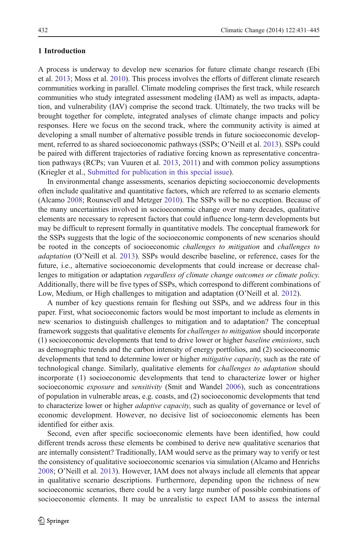#### <span id="page-1-0"></span>1 Introduction

A process is underway to develop new scenarios for future climate change research (Ebi et al. [2013;](#page-14-0) Moss et al. [2010](#page-14-0)). This process involves the efforts of different climate research communities working in parallel. Climate modeling comprises the first track, while research communities who study integrated assessment modeling (IAM) as well as impacts, adaptation, and vulnerability (IAV) comprise the second track. Ultimately, the two tracks will be brought together for complete, integrated analyses of climate change impacts and policy responses. Here we focus on the second track, where the community activity is aimed at developing a small number of alternative possible trends in future socioeconomic development, referred to as shared socioeconomic pathways (SSPs; O'Neill et al. [2013](#page-14-0)). SSPs could be paired with different trajectories of radiative forcing known as representative concentration pathways (RCPs; van Vuuren et al. [2013](#page-14-0), [2011\)](#page-14-0) and with common policy assumptions (Kriegler et al., [Submitted for publication in this special issue\)](#page-14-0).

In environmental change assessments, scenarios depicting socioeconomic developments often include qualitative and quantitative factors, which are referred to as scenario elements (Alcamo [2008](#page-14-0); Rounsevell and Metzger [2010\)](#page-14-0). The SSPs will be no exception. Because of the many uncertainties involved in socioeconomic change over many decades, qualitative elements are necessary to represent factors that could influence long-term developments but may be difficult to represent formally in quantitative models. The conceptual framework for the SSPs suggests that the logic of the socioeconomic components of new scenarios should be rooted in the concepts of socioeconomic *challenges to mitigation* and *challenges to* adaptation (O'Neill et al. [2013\)](#page-14-0). SSPs would describe baseline, or reference, cases for the future, i.e., alternative socioeconomic developments that could increase or decrease challenges to mitigation or adaptation regardless of climate change outcomes or climate policy. Additionally, there will be five types of SSPs, which correspond to different combinations of Low, Medium, or High challenges to mitigation and adaptation (O'Neill et al. [2012\)](#page-14-0).

A number of key questions remain for fleshing out SSPs, and we address four in this paper. First, what socioeconomic factors would be most important to include as elements in new scenarios to distinguish challenges to mitigation and to adaptation? The conceptual framework suggests that qualitative elements for challenges to mitigation should incorporate (1) socioeconomic developments that tend to drive lower or higher baseline emissions, such as demographic trends and the carbon intensity of energy portfolios, and (2) socioeconomic developments that tend to determine lower or higher *mitigative capacity*, such as the rate of technological change. Similarly, qualitative elements for challenges to adaptation should incorporate (1) socioeconomic developments that tend to characterize lower or higher socioeconomic *exposure* and *sensitivity* (Smit and Wandel [2006](#page-14-0)), such as concentrations of population in vulnerable areas, e.g. coasts, and (2) socioeconomic developments that tend to characterize lower or higher *adaptive capacity*, such as quality of governance or level of economic development. However, no decisive list of socioeconomic elements has been identified for either axis.

Second, even after specific socioeconomic elements have been identified, how could different trends across these elements be combined to derive new qualitative scenarios that are internally consistent? Traditionally, IAM would serve as the primary way to verify or test the consistency of qualitative socioeconomic scenarios via simulation (Alcamo and Henrichs [2008;](#page-14-0) O'Neill et al. [2013\)](#page-14-0). However, IAM does not always include all elements that appear in qualitative scenario descriptions. Furthermore, depending upon the richness of new socioeconomic scenarios, there could be a very large number of possible combinations of socioeconomic elements. It may be unrealistic to expect IAM to assess the internal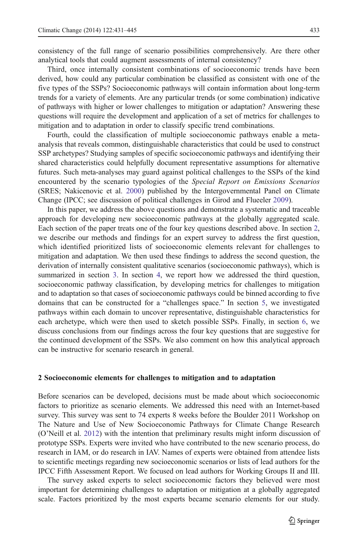<span id="page-2-0"></span>consistency of the full range of scenario possibilities comprehensively. Are there other analytical tools that could augment assessments of internal consistency?

Third, once internally consistent combinations of socioeconomic trends have been derived, how could any particular combination be classified as consistent with one of the five types of the SSPs? Socioeconomic pathways will contain information about long-term trends for a variety of elements. Are any particular trends (or some combination) indicative of pathways with higher or lower challenges to mitigation or adaptation? Answering these questions will require the development and application of a set of metrics for challenges to mitigation and to adaptation in order to classify specific trend combinations.

Fourth, could the classification of multiple socioeconomic pathways enable a metaanalysis that reveals common, distinguishable characteristics that could be used to construct SSP archetypes? Studying samples of specific socioeconomic pathways and identifying their shared characteristics could helpfully document representative assumptions for alternative futures. Such meta-analyses may guard against political challenges to the SSPs of the kind encountered by the scenario typologies of the Special Report on Emissions Scenarios (SRES; Nakicenovic et al. [2000\)](#page-14-0) published by the Intergovernmental Panel on Climate Change (IPCC; see discussion of political challenges in Girod and Flueeler [2009](#page-14-0)).

In this paper, we address the above questions and demonstrate a systematic and traceable approach for developing new socioeconomic pathways at the globally aggregated scale. Each section of the paper treats one of the four key questions described above. In section 2, we describe our methods and findings for an expert survey to address the first question, which identified prioritized lists of socioeconomic elements relevant for challenges to mitigation and adaptation. We then used these findings to address the second question, the derivation of internally consistent qualitative scenarios (socioeconomic pathways), which is summarized in section [3](#page-3-0). In section [4,](#page-6-0) we report how we addressed the third question, socioeconomic pathway classification, by developing metrics for challenges to mitigation and to adaptation so that cases of socioeconomic pathways could be binned according to five domains that can be constructed for a "challenges space." In section [5](#page-8-0), we investigated pathways within each domain to uncover representative, distinguishable characteristics for each archetype, which were then used to sketch possible SSPs. Finally, in section [6,](#page-12-0) we discuss conclusions from our findings across the four key questions that are suggestive for the continued development of the SSPs. We also comment on how this analytical approach can be instructive for scenario research in general.

#### 2 Socioeconomic elements for challenges to mitigation and to adaptation

Before scenarios can be developed, decisions must be made about which socioeconomic factors to prioritize as scenario elements. We addressed this need with an Internet-based survey. This survey was sent to 74 experts 8 weeks before the Boulder 2011 Workshop on The Nature and Use of New Socioeconomic Pathways for Climate Change Research (O'Neill et al. [2012](#page-14-0)) with the intention that preliminary results might inform discussion of prototype SSPs. Experts were invited who have contributed to the new scenario process, do research in IAM, or do research in IAV. Names of experts were obtained from attendee lists to scientific meetings regarding new socioeconomic scenarios or lists of lead authors for the IPCC Fifth Assessment Report. We focused on lead authors for Working Groups II and III.

The survey asked experts to select socioeconomic factors they believed were most important for determining challenges to adaptation or mitigation at a globally aggregated scale. Factors prioritized by the most experts became scenario elements for our study.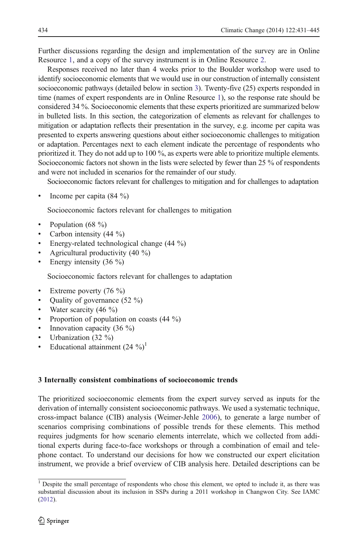<span id="page-3-0"></span>Further discussions regarding the design and implementation of the survey are in Online Resource 1, and a copy of the survey instrument is in Online Resource 2.

Responses received no later than 4 weeks prior to the Boulder workshop were used to identify socioeconomic elements that we would use in our construction of internally consistent socioeconomic pathways (detailed below in section 3). Twenty-five (25) experts responded in time (names of expert respondents are in Online Resource 1), so the response rate should be considered 34 %. Socioeconomic elements that these experts prioritized are summarized below in bulleted lists. In this section, the categorization of elements as relevant for challenges to mitigation or adaptation reflects their presentation in the survey, e.g. income per capita was presented to experts answering questions about either socioeconomic challenges to mitigation or adaptation. Percentages next to each element indicate the percentage of respondents who prioritized it. They do not add up to 100 %, as experts were able to prioritize multiple elements. Socioeconomic factors not shown in the lists were selected by fewer than 25 % of respondents and were not included in scenarios for the remainder of our study.

Socioeconomic factors relevant for challenges to mitigation and for challenges to adaptation

• Income per capita  $(84 \%)$ 

Socioeconomic factors relevant for challenges to mitigation

- Population (68 %)
- Carbon intensity  $(44 \%)$
- Energy-related technological change (44 %)
- & Agricultural productivity (40 %)
- Energy intensity  $(36 \%)$

Socioeconomic factors relevant for challenges to adaptation

- Extreme poverty  $(76 \%)$
- Quality of governance (52 %)
- Water scarcity  $(46 \%)$
- Proportion of population on coasts  $(44 \%)$
- Innovation capacity  $(36 \%)$
- Urbanization (32 %)
- Educational attainment  $(24 \%)$ <sup>1</sup>

#### 3 Internally consistent combinations of socioeconomic trends

The prioritized socioeconomic elements from the expert survey served as inputs for the derivation of internally consistent socioeconomic pathways. We used a systematic technique, cross-impact balance (CIB) analysis (Weimer-Jehle [2006\)](#page-14-0), to generate a large number of scenarios comprising combinations of possible trends for these elements. This method requires judgments for how scenario elements interrelate, which we collected from additional experts during face-to-face workshops or through a combination of email and telephone contact. To understand our decisions for how we constructed our expert elicitation instrument, we provide a brief overview of CIB analysis here. Detailed descriptions can be

 $1$  Despite the small percentage of respondents who chose this element, we opted to include it, as there was substantial discussion about its inclusion in SSPs during a 2011 workshop in Changwon City. See IAMC [\(2012](#page-14-0)).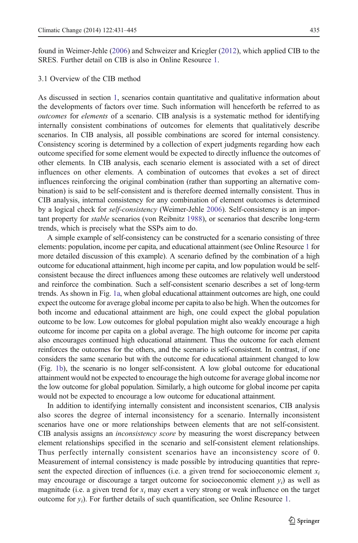found in Weimer-Jehle ([2006\)](#page-14-0) and Schweizer and Kriegler ([2012](#page-14-0)), which applied CIB to the SRES. Further detail on CIB is also in Online Resource 1.

## 3.1 Overview of the CIB method

As discussed in section [1](#page-1-0), scenarios contain quantitative and qualitative information about the developments of factors over time. Such information will henceforth be referred to as outcomes for elements of a scenario. CIB analysis is a systematic method for identifying internally consistent combinations of outcomes for elements that qualitatively describe scenarios. In CIB analysis, all possible combinations are scored for internal consistency. Consistency scoring is determined by a collection of expert judgments regarding how each outcome specified for some element would be expected to directly influence the outcomes of other elements. In CIB analysis, each scenario element is associated with a set of direct influences on other elements. A combination of outcomes that evokes a set of direct influences reinforcing the original combination (rather than supporting an alternative combination) is said to be self-consistent and is therefore deemed internally consistent. Thus in CIB analysis, internal consistency for any combination of element outcomes is determined by a logical check for self-consistency (Weimer-Jehle [2006\)](#page-14-0). Self-consistency is an important property for stable scenarios (von Reibnitz [1988](#page-14-0)), or scenarios that describe long-term trends, which is precisely what the SSPs aim to do.

A simple example of self-consistency can be constructed for a scenario consisting of three elements: population, income per capita, and educational attainment (see Online Resource 1 for more detailed discussion of this example). A scenario defined by the combination of a high outcome for educational attainment, high income per capita, and low population would be selfconsistent because the direct influences among these outcomes are relatively well understood and reinforce the combination. Such a self-consistent scenario describes a set of long-term trends. As shown in Fig. [1a,](#page-5-0) when global educational attainment outcomes are high, one could expect the outcome for average global income per capita to also be high. When the outcomes for both income and educational attainment are high, one could expect the global population outcome to be low. Low outcomes for global population might also weakly encourage a high outcome for income per capita on a global average. The high outcome for income per capita also encourages continued high educational attainment. Thus the outcome for each element reinforces the outcomes for the others, and the scenario is self-consistent. In contrast, if one considers the same scenario but with the outcome for educational attainment changed to low (Fig. [1b](#page-5-0)), the scenario is no longer self-consistent. A low global outcome for educational attainment would not be expected to encourage the high outcome for average global income nor the low outcome for global population. Similarly, a high outcome for global income per capita would not be expected to encourage a low outcome for educational attainment.

In addition to identifying internally consistent and inconsistent scenarios, CIB analysis also scores the degree of internal inconsistency for a scenario. Internally inconsistent scenarios have one or more relationships between elements that are not self-consistent. CIB analysis assigns an inconsistency score by measuring the worst discrepancy between element relationships specified in the scenario and self-consistent element relationships. Thus perfectly internally consistent scenarios have an inconsistency score of 0. Measurement of internal consistency is made possible by introducing quantities that represent the expected direction of influences (i.e. a given trend for socioeconomic element  $x_i$ may encourage or discourage a target outcome for socioeconomic element  $y_i$ ) as well as magnitude (i.e. a given trend for  $x_i$  may exert a very strong or weak influence on the target outcome for  $y_i$ ). For further details of such quantification, see Online Resource 1.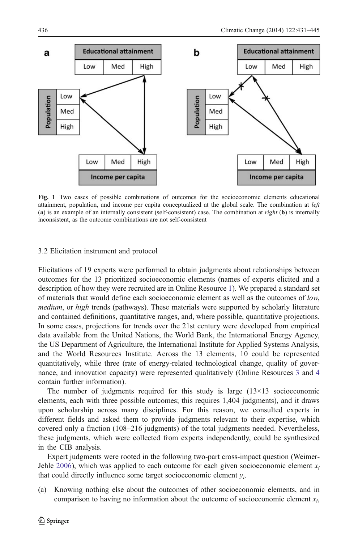<span id="page-5-0"></span>

Fig. 1 Two cases of possible combinations of outcomes for the socioeconomic elements educational attainment, population, and income per capita conceptualized at the global scale. The combination at left (a) is an example of an internally consistent (self-consistent) case. The combination at  $right (b)$  is internally inconsistent, as the outcome combinations are not self-consistent

#### 3.2 Elicitation instrument and protocol

Elicitations of 19 experts were performed to obtain judgments about relationships between outcomes for the 13 prioritized socioeconomic elements (names of experts elicited and a description of how they were recruited are in Online Resource 1). We prepared a standard set of materials that would define each socioeconomic element as well as the outcomes of low, medium, or high trends (pathways). These materials were supported by scholarly literature and contained definitions, quantitative ranges, and, where possible, quantitative projections. In some cases, projections for trends over the 21st century were developed from empirical data available from the United Nations, the World Bank, the International Energy Agency, the US Department of Agriculture, the International Institute for Applied Systems Analysis, and the World Resources Institute. Across the 13 elements, 10 could be represented quantitatively, while three (rate of energy-related technological change, quality of governance, and innovation capacity) were represented qualitatively (Online Resources 3 and 4 contain further information).

The number of judgments required for this study is large  $(13\times13)$  socioeconomic elements, each with three possible outcomes; this requires 1,404 judgments), and it draws upon scholarship across many disciplines. For this reason, we consulted experts in different fields and asked them to provide judgments relevant to their expertise, which covered only a fraction (108–216 judgments) of the total judgments needed. Nevertheless, these judgments, which were collected from experts independently, could be synthesized in the CIB analysis.

Expert judgments were rooted in the following two-part cross-impact question (Weimer-Jehle [2006\)](#page-14-0), which was applied to each outcome for each given socioeconomic element  $x_i$ that could directly influence some target socioeconomic element  $v_i$ .

(a) Knowing nothing else about the outcomes of other socioeconomic elements, and in comparison to having no information about the outcome of socioeconomic element  $x_i$ ,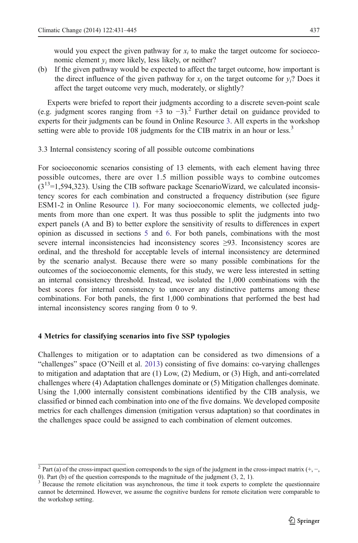<span id="page-6-0"></span>would you expect the given pathway for  $x_i$  to make the target outcome for socioeconomic element  $y_i$  more likely, less likely, or neither?

(b) If the given pathway would be expected to affect the target outcome, how important is the direct influence of the given pathway for  $x_i$  on the target outcome for  $y_i$ ? Does it affect the target outcome very much, moderately, or slightly?

Experts were briefed to report their judgments according to a discrete seven-point scale (e.g. judgment scores ranging from  $+3$  to  $-3$ ).<sup>2</sup> Further detail on guidance provided to experts for their judgments can be found in Online Resource 3. All experts in the workshop setting were able to provide 108 judgments for the CIB matrix in an hour or less.<sup>3</sup>

3.3 Internal consistency scoring of all possible outcome combinations

For socioeconomic scenarios consisting of 13 elements, with each element having three possible outcomes, there are over 1.5 million possible ways to combine outcomes  $(3^{13}=1,594,323)$ . Using the CIB software package ScenarioWizard, we calculated inconsistency scores for each combination and constructed a frequency distribution (see figure ESM1-2 in Online Resource 1). For many socioeconomic elements, we collected judgments from more than one expert. It was thus possible to split the judgments into two expert panels (A and B) to better explore the sensitivity of results to differences in expert opinion as discussed in sections [5](#page-8-0) and [6.](#page-12-0) For both panels, combinations with the most severe internal inconsistencies had inconsistency scores ≥93. Inconsistency scores are ordinal, and the threshold for acceptable levels of internal inconsistency are determined by the scenario analyst. Because there were so many possible combinations for the outcomes of the socioeconomic elements, for this study, we were less interested in setting an internal consistency threshold. Instead, we isolated the 1,000 combinations with the best scores for internal consistency to uncover any distinctive patterns among these combinations. For both panels, the first 1,000 combinations that performed the best had internal inconsistency scores ranging from 0 to 9.

#### 4 Metrics for classifying scenarios into five SSP typologies

Challenges to mitigation or to adaptation can be considered as two dimensions of a "challenges" space (O'Neill et al. [2013\)](#page-14-0) consisting of five domains: co-varying challenges to mitigation and adaptation that are (1) Low, (2) Medium, or (3) High, and anti-correlated challenges where (4) Adaptation challenges dominate or (5) Mitigation challenges dominate. Using the 1,000 internally consistent combinations identified by the CIB analysis, we classified or binned each combination into one of the five domains. We developed composite metrics for each challenges dimension (mitigation versus adaptation) so that coordinates in the challenges space could be assigned to each combination of element outcomes.

<sup>&</sup>lt;sup>2</sup> Part (a) of the cross-impact question corresponds to the sign of the judgment in the cross-impact matrix  $(+, -,$ 0). Part (b) of the question corresponds to the magnitude of the judgment (3, 2, 1).

<sup>&</sup>lt;sup>3</sup> Because the remote elicitation was asynchronous, the time it took experts to complete the questionnaire cannot be determined. However, we assume the cognitive burdens for remote elicitation were comparable to the workshop setting.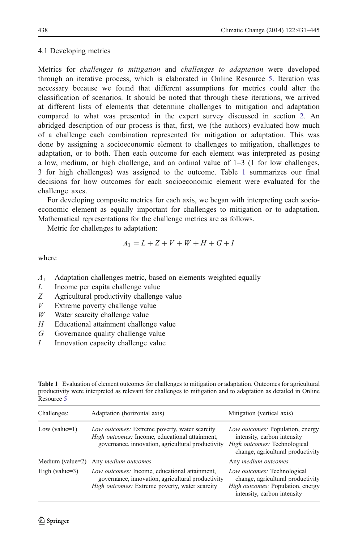#### <span id="page-7-0"></span>4.1 Developing metrics

Metrics for challenges to mitigation and challenges to adaptation were developed through an iterative process, which is elaborated in Online Resource 5. Iteration was necessary because we found that different assumptions for metrics could alter the classification of scenarios. It should be noted that through these iterations, we arrived at different lists of elements that determine challenges to mitigation and adaptation compared to what was presented in the expert survey discussed in section [2](#page-2-0). An abridged description of our process is that, first, we (the authors) evaluated how much of a challenge each combination represented for mitigation or adaptation. This was done by assigning a socioeconomic element to challenges to mitigation, challenges to adaptation, or to both. Then each outcome for each element was interpreted as posing a low, medium, or high challenge, and an ordinal value of  $1-3$  (1 for low challenges, 3 for high challenges) was assigned to the outcome. Table 1 summarizes our final decisions for how outcomes for each socioeconomic element were evaluated for the challenge axes.

For developing composite metrics for each axis, we began with interpreting each socioeconomic element as equally important for challenges to mitigation or to adaptation. Mathematical representations for the challenge metrics are as follows.

Metric for challenges to adaptation:

$$
A_1 = L + Z + V + W + H + G + I
$$

where

- $A_1$  Adaptation challenges metric, based on elements weighted equally
- L Income per capita challenge value
- Z Agricultural productivity challenge value
- $V$  Extreme poverty challenge value
- $W$  Water scarcity challenge value
- $H$  Educational attainment challenge value
- G Governance quality challenge value
- I Innovation capacity challenge value

| Challenges:          | Adaptation (horizontal axis)                                                                                                                         | Mitigation (vertical axis)                                                                                                                  |
|----------------------|------------------------------------------------------------------------------------------------------------------------------------------------------|---------------------------------------------------------------------------------------------------------------------------------------------|
| Low (value= $1$ )    | Low outcomes: Extreme poverty, water scarcity<br>High outcomes: Income, educational attainment,<br>governance, innovation, agricultural productivity | Low outcomes: Population, energy<br>intensity, carbon intensity<br>High outcomes: Technological<br>change, agricultural productivity        |
| Medium (value= $2$ ) | Any medium outcomes                                                                                                                                  | Any <i>medium</i> outcomes                                                                                                                  |
| High (value= $3$ )   | Low outcomes: Income, educational attainment,<br>governance, innovation, agricultural productivity<br>High outcomes: Extreme poverty, water scarcity | Low outcomes: Technological<br>change, agricultural productivity<br><i>High outcomes:</i> Population, energy<br>intensity, carbon intensity |

Table 1 Evaluation of element outcomes for challenges to mitigation or adaptation. Outcomes for agricultural productivity were interpreted as relevant for challenges to mitigation and to adaptation as detailed in Online Resource 5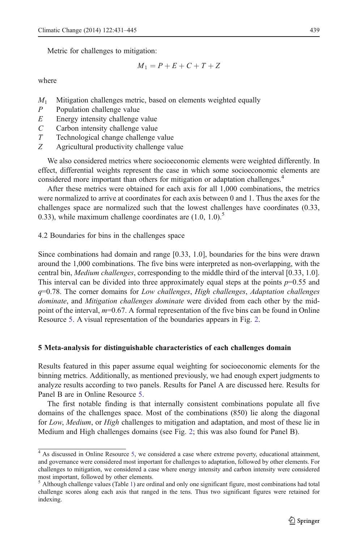<span id="page-8-0"></span>Metric for challenges to mitigation:

$$
M_1 = P + E + C + T + Z
$$

where

- $M_1$  Mitigation challenges metric, based on elements weighted equally  $P$  Population challenge value
- Population challenge value
- $E$  Energy intensity challenge value
- C Carbon intensity challenge value
- T Technological change challenge value
- Z Agricultural productivity challenge value

We also considered metrics where socioeconomic elements were weighted differently. In effect, differential weights represent the case in which some socioeconomic elements are considered more important than others for mitigation or adaptation challenges.<sup>4</sup>

After these metrics were obtained for each axis for all 1,000 combinations, the metrics were normalized to arrive at coordinates for each axis between 0 and 1. Thus the axes for the challenges space are normalized such that the lowest challenges have coordinates (0.33, 0.33), while maximum challenge coordinates are  $(1.0, 1.0)$ .<sup>5</sup>

4.2 Boundaries for bins in the challenges space

Since combinations had domain and range [0.33, 1.0], boundaries for the bins were drawn around the 1,000 combinations. The five bins were interpreted as non-overlapping, with the central bin, *Medium challenges*, corresponding to the middle third of the interval [0.33, 1.0]. This interval can be divided into three approximately equal steps at the points  $p=0.55$  and  $q=0.78$ . The corner domains for Low challenges, High challenges, Adaptation challenges dominate, and Mitigation challenges dominate were divided from each other by the midpoint of the interval,  $m=0.67$ . A formal representation of the five bins can be found in Online Resource 5. A visual representation of the boundaries appears in Fig. [2](#page-9-0).

#### 5 Meta-analysis for distinguishable characteristics of each challenges domain

Results featured in this paper assume equal weighting for socioeconomic elements for the binning metrics. Additionally, as mentioned previously, we had enough expert judgments to analyze results according to two panels. Results for Panel A are discussed here. Results for Panel B are in Online Resource 5.

The first notable finding is that internally consistent combinations populate all five domains of the challenges space. Most of the combinations (850) lie along the diagonal for Low, Medium, or High challenges to mitigation and adaptation, and most of these lie in Medium and High challenges domains (see Fig. [2;](#page-9-0) this was also found for Panel B).

<sup>&</sup>lt;sup>4</sup> As discussed in Online Resource 5, we considered a case where extreme poverty, educational attainment, and governance were considered most important for challenges to adaptation, followed by other elements. For challenges to mitigation, we considered a case where energy intensity and carbon intensity were considered most important, followed by other elements.

 $<sup>5</sup>$  Although challenge values (Table [1\)](#page-7-0) are ordinal and only one significant figure, most combinations had total</sup> challenge scores along each axis that ranged in the tens. Thus two significant figures were retained for indexing.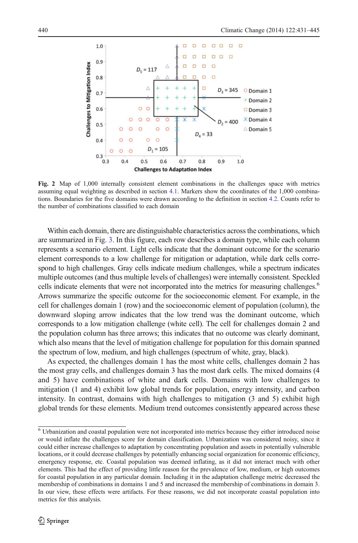<span id="page-9-0"></span>

Fig. 2 Map of 1,000 internally consistent element combinations in the challenges space with metrics assuming equal weighting as described in section [4.1.](#page-7-0) Markers show the coordinates of the 1,000 combinations. Boundaries for the five domains were drawn according to the definition in section [4.2](#page-8-0). Counts refer to the number of combinations classified to each domain

Within each domain, there are distinguishable characteristics across the combinations, which are summarized in Fig. [3](#page-10-0). In this figure, each row describes a domain type, while each column represents a scenario element. Light cells indicate that the dominant outcome for the scenario element corresponds to a low challenge for mitigation or adaptation, while dark cells correspond to high challenges. Gray cells indicate medium challenges, while a spectrum indicates multiple outcomes (and thus multiple levels of challenges) were internally consistent. Speckled cells indicate elements that were not incorporated into the metrics for measuring challenges.<sup>6</sup> Arrows summarize the specific outcome for the socioeconomic element. For example, in the cell for challenges domain 1 (row) and the socioeconomic element of population (column), the downward sloping arrow indicates that the low trend was the dominant outcome, which corresponds to a low mitigation challenge (white cell). The cell for challenges domain 2 and the population column has three arrows; this indicates that no outcome was clearly dominant, which also means that the level of mitigation challenge for population for this domain spanned the spectrum of low, medium, and high challenges (spectrum of white, gray, black).

As expected, the challenges domain 1 has the most white cells, challenges domain 2 has the most gray cells, and challenges domain 3 has the most dark cells. The mixed domains (4 and 5) have combinations of white and dark cells. Domains with low challenges to mitigation (1 and 4) exhibit low global trends for population, energy intensity, and carbon intensity. In contrast, domains with high challenges to mitigation (3 and 5) exhibit high global trends for these elements. Medium trend outcomes consistently appeared across these

<sup>6</sup> Urbanization and coastal population were not incorporated into metrics because they either introduced noise or would inflate the challenges score for domain classification. Urbanization was considered noisy, since it could either increase challenges to adaptation by concentrating population and assets in potentially vulnerable locations, or it could decrease challenges by potentially enhancing social organization for economic efficiency, emergency response, etc. Coastal population was deemed inflating, as it did not interact much with other elements. This had the effect of providing little reason for the prevalence of low, medium, or high outcomes for coastal population in any particular domain. Including it in the adaptation challenge metric decreased the membership of combinations in domains 1 and 5 and increased the membership of combinations in domain 3. In our view, these effects were artifacts. For these reasons, we did not incorporate coastal population into metrics for this analysis.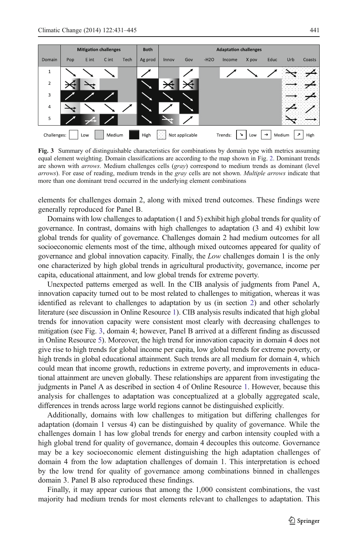<span id="page-10-0"></span>

Fig. 3 Summary of distinguishable characteristics for combinations by domain type with metrics assuming equal element weighting. Domain classifications are according to the map shown in Fig. [2](#page-9-0). Dominant trends are shown with *arrows*. Medium challenges cells (*gray*) correspond to medium trends as dominant (level arrows). For ease of reading, medium trends in the gray cells are not shown. Multiple arrows indicate that more than one dominant trend occurred in the underlying element combinations

elements for challenges domain 2, along with mixed trend outcomes. These findings were generally reproduced for Panel B.

Domains with low challenges to adaptation (1 and 5) exhibit high global trends for quality of governance. In contrast, domains with high challenges to adaptation (3 and 4) exhibit low global trends for quality of governance. Challenges domain 2 had medium outcomes for all socioeconomic elements most of the time, although mixed outcomes appeared for quality of governance and global innovation capacity. Finally, the Low challenges domain 1 is the only one characterized by high global trends in agricultural productivity, governance, income per capita, educational attainment, and low global trends for extreme poverty.

Unexpected patterns emerged as well. In the CIB analysis of judgments from Panel A, innovation capacity turned out to be most related to challenges to mitigation, whereas it was identified as relevant to challenges to adaptation by us (in section [2\)](#page-2-0) and other scholarly literature (see discussion in Online Resource 1). CIB analysis results indicated that high global trends for innovation capacity were consistent most clearly with decreasing challenges to mitigation (see Fig. 3, domain 4; however, Panel B arrived at a different finding as discussed in Online Resource 5). Moreover, the high trend for innovation capacity in domain 4 does not give rise to high trends for global income per capita, low global trends for extreme poverty, or high trends in global educational attainment. Such trends are all medium for domain 4, which could mean that income growth, reductions in extreme poverty, and improvements in educational attainment are uneven globally. These relationships are apparent from investigating the judgments in Panel A as described in section 4 of Online Resource 1. However, because this analysis for challenges to adaptation was conceptualized at a globally aggregated scale, differences in trends across large world regions cannot be distinguished explicitly.

Additionally, domains with low challenges to mitigation but differing challenges for adaptation (domain 1 versus 4) can be distinguished by quality of governance. While the challenges domain 1 has low global trends for energy and carbon intensity coupled with a high global trend for quality of governance, domain 4 decouples this outcome. Governance may be a key socioeconomic element distinguishing the high adaptation challenges of domain 4 from the low adaptation challenges of domain 1. This interpretation is echoed by the low trend for quality of governance among combinations binned in challenges domain 3. Panel B also reproduced these findings.

Finally, it may appear curious that among the 1,000 consistent combinations, the vast majority had medium trends for most elements relevant to challenges to adaptation. This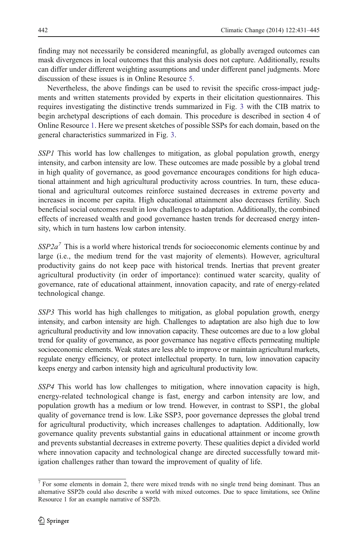finding may not necessarily be considered meaningful, as globally averaged outcomes can mask divergences in local outcomes that this analysis does not capture. Additionally, results can differ under different weighting assumptions and under different panel judgments. More discussion of these issues is in Online Resource 5.

Nevertheless, the above findings can be used to revisit the specific cross-impact judgments and written statements provided by experts in their elicitation questionnaires. This requires investigating the distinctive trends summarized in Fig. [3](#page-10-0) with the CIB matrix to begin archetypal descriptions of each domain. This procedure is described in section 4 of Online Resource 1. Here we present sketches of possible SSPs for each domain, based on the general characteristics summarized in Fig. [3](#page-10-0).

SSP1 This world has low challenges to mitigation, as global population growth, energy intensity, and carbon intensity are low. These outcomes are made possible by a global trend in high quality of governance, as good governance encourages conditions for high educational attainment and high agricultural productivity across countries. In turn, these educational and agricultural outcomes reinforce sustained decreases in extreme poverty and increases in income per capita. High educational attainment also decreases fertility. Such beneficial social outcomes result in low challenges to adaptation. Additionally, the combined effects of increased wealth and good governance hasten trends for decreased energy intensity, which in turn hastens low carbon intensity.

 $SSP2a<sup>7</sup>$  This is a world where historical trends for socioeconomic elements continue by and large (i.e., the medium trend for the vast majority of elements). However, agricultural productivity gains do not keep pace with historical trends. Inertias that prevent greater agricultural productivity (in order of importance): continued water scarcity, quality of governance, rate of educational attainment, innovation capacity, and rate of energy-related technological change.

SSP3 This world has high challenges to mitigation, as global population growth, energy intensity, and carbon intensity are high. Challenges to adaptation are also high due to low agricultural productivity and low innovation capacity. These outcomes are due to a low global trend for quality of governance, as poor governance has negative effects permeating multiple socioeconomic elements. Weak states are less able to improve or maintain agricultural markets, regulate energy efficiency, or protect intellectual property. In turn, low innovation capacity keeps energy and carbon intensity high and agricultural productivity low.

SSP4 This world has low challenges to mitigation, where innovation capacity is high, energy-related technological change is fast, energy and carbon intensity are low, and population growth has a medium or low trend. However, in contrast to SSP1, the global quality of governance trend is low. Like SSP3, poor governance depresses the global trend for agricultural productivity, which increases challenges to adaptation. Additionally, low governance quality prevents substantial gains in educational attainment or income growth and prevents substantial decreases in extreme poverty. These qualities depict a divided world where innovation capacity and technological change are directed successfully toward mitigation challenges rather than toward the improvement of quality of life.

<sup>&</sup>lt;sup>7</sup> For some elements in domain 2, there were mixed trends with no single trend being dominant. Thus an alternative SSP2b could also describe a world with mixed outcomes. Due to space limitations, see Online Resource 1 for an example narrative of SSP2b.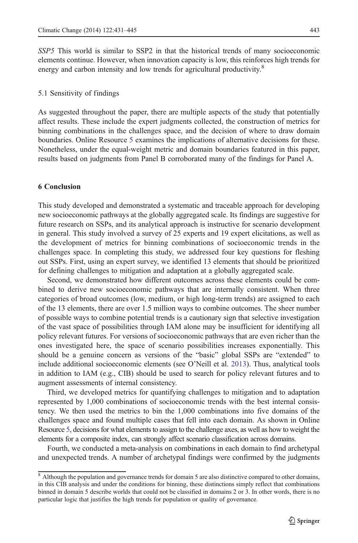<span id="page-12-0"></span>SSP5 This world is similar to SSP2 in that the historical trends of many socioeconomic elements continue. However, when innovation capacity is low, this reinforces high trends for energy and carbon intensity and low trends for agricultural productivity.<sup>8</sup>

#### 5.1 Sensitivity of findings

As suggested throughout the paper, there are multiple aspects of the study that potentially affect results. These include the expert judgments collected, the construction of metrics for binning combinations in the challenges space, and the decision of where to draw domain boundaries. Online Resource 5 examines the implications of alternative decisions for these. Nonetheless, under the equal-weight metric and domain boundaries featured in this paper, results based on judgments from Panel B corroborated many of the findings for Panel A.

### 6 Conclusion

This study developed and demonstrated a systematic and traceable approach for developing new socioeconomic pathways at the globally aggregated scale. Its findings are suggestive for future research on SSPs, and its analytical approach is instructive for scenario development in general. This study involved a survey of 25 experts and 19 expert elicitations, as well as the development of metrics for binning combinations of socioeconomic trends in the challenges space. In completing this study, we addressed four key questions for fleshing out SSPs. First, using an expert survey, we identified 13 elements that should be prioritized for defining challenges to mitigation and adaptation at a globally aggregated scale.

Second, we demonstrated how different outcomes across these elements could be combined to derive new socioeconomic pathways that are internally consistent. When three categories of broad outcomes (low, medium, or high long-term trends) are assigned to each of the 13 elements, there are over 1.5 million ways to combine outcomes. The sheer number of possible ways to combine potential trends is a cautionary sign that selective investigation of the vast space of possibilities through IAM alone may be insufficient for identifying all policy relevant futures. For versions of socioeconomic pathways that are even richer than the ones investigated here, the space of scenario possibilities increases exponentially. This should be a genuine concern as versions of the "basic" global SSPs are "extended" to include additional socioeconomic elements (see O'Neill et al. [2013\)](#page-14-0). Thus, analytical tools in addition to IAM (e.g., CIB) should be used to search for policy relevant futures and to augment assessments of internal consistency.

Third, we developed metrics for quantifying challenges to mitigation and to adaptation represented by 1,000 combinations of socioeconomic trends with the best internal consistency. We then used the metrics to bin the 1,000 combinations into five domains of the challenges space and found multiple cases that fell into each domain. As shown in Online Resource 5, decisions for what elements to assign to the challenge axes, as well as how to weight the elements for a composite index, can strongly affect scenario classification across domains.

Fourth, we conducted a meta-analysis on combinations in each domain to find archetypal and unexpected trends. A number of archetypal findings were confirmed by the judgments

<sup>&</sup>lt;sup>8</sup> Although the population and governance trends for domain 5 are also distinctive compared to other domains, in this CIB analysis and under the conditions for binning, these distinctions simply reflect that combinations binned in domain 5 describe worlds that could not be classified in domains 2 or 3. In other words, there is no particular logic that justifies the high trends for population or quality of governance.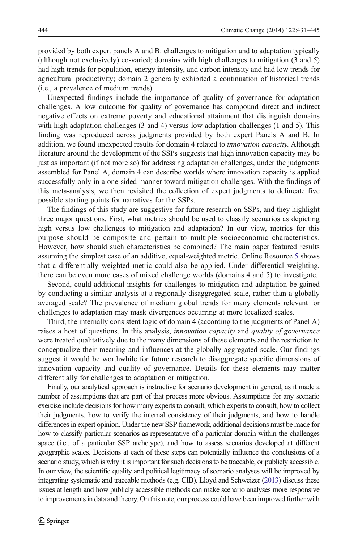provided by both expert panels A and B: challenges to mitigation and to adaptation typically (although not exclusively) co-varied; domains with high challenges to mitigation (3 and 5) had high trends for population, energy intensity, and carbon intensity and had low trends for agricultural productivity; domain 2 generally exhibited a continuation of historical trends (i.e., a prevalence of medium trends).

Unexpected findings include the importance of quality of governance for adaptation challenges. A low outcome for quality of governance has compound direct and indirect negative effects on extreme poverty and educational attainment that distinguish domains with high adaptation challenges (3 and 4) versus low adaptation challenges (1 and 5). This finding was reproduced across judgments provided by both expert Panels A and B. In addition, we found unexpected results for domain 4 related to *innovation capacity*. Although literature around the development of the SSPs suggests that high innovation capacity may be just as important (if not more so) for addressing adaptation challenges, under the judgments assembled for Panel A, domain 4 can describe worlds where innovation capacity is applied successfully only in a one-sided manner toward mitigation challenges. With the findings of this meta-analysis, we then revisited the collection of expert judgments to delineate five possible starting points for narratives for the SSPs.

The findings of this study are suggestive for future research on SSPs, and they highlight three major questions. First, what metrics should be used to classify scenarios as depicting high versus low challenges to mitigation and adaptation? In our view, metrics for this purpose should be composite and pertain to multiple socioeconomic characteristics. However, how should such characteristics be combined? The main paper featured results assuming the simplest case of an additive, equal-weighted metric. Online Resource 5 shows that a differentially weighted metric could also be applied. Under differential weighting, there can be even more cases of mixed challenge worlds (domains 4 and 5) to investigate.

Second, could additional insights for challenges to mitigation and adaptation be gained by conducting a similar analysis at a regionally disaggregated scale, rather than a globally averaged scale? The prevalence of medium global trends for many elements relevant for challenges to adaptation may mask divergences occurring at more localized scales.

Third, the internally consistent logic of domain 4 (according to the judgments of Panel A) raises a host of questions. In this analysis, *innovation capacity* and *quality of governance* were treated qualitatively due to the many dimensions of these elements and the restriction to conceptualize their meaning and influences at the globally aggregated scale. Our findings suggest it would be worthwhile for future research to disaggregate specific dimensions of innovation capacity and quality of governance. Details for these elements may matter differentially for challenges to adaptation or mitigation.

Finally, our analytical approach is instructive for scenario development in general, as it made a number of assumptions that are part of that process more obvious. Assumptions for any scenario exercise include decisions for how many experts to consult, which experts to consult, how to collect their judgments, how to verify the internal consistency of their judgments, and how to handle differences in expert opinion. Under the new SSP framework, additional decisions must be made for how to classify particular scenarios as representative of a particular domain within the challenges space (i.e., of a particular SSP archetype), and how to assess scenarios developed at different geographic scales. Decisions at each of these steps can potentially influence the conclusions of a scenario study, which is why it is important for such decisions to be traceable, or publicly accessible. In our view, the scientific quality and political legitimacy of scenario analyses will be improved by integrating systematic and traceable methods (e.g. CIB). Lloyd and Schweizer [\(2013](#page-14-0)) discuss these issues at length and how publicly accessible methods can make scenario analyses more responsive to improvements in data and theory. On this note, our process could have been improved further with